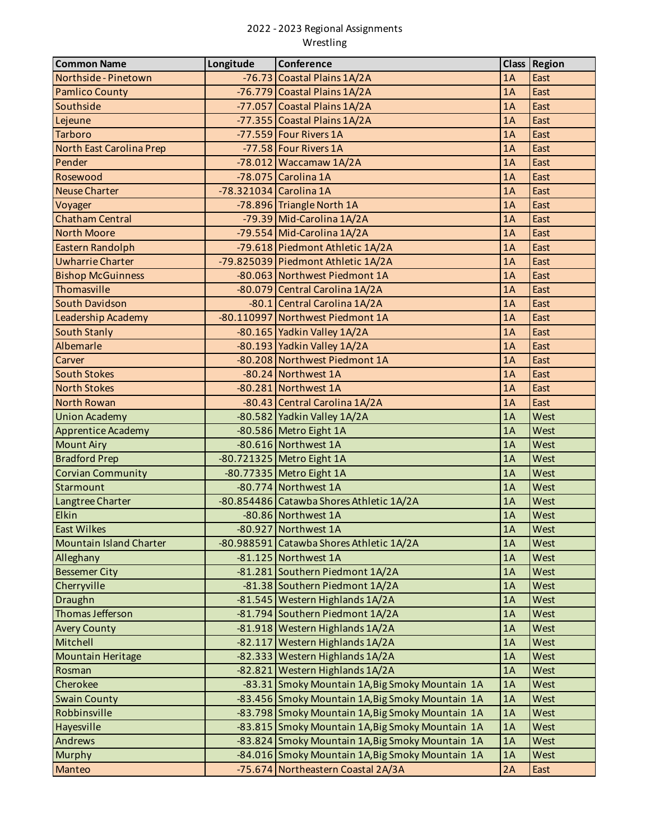| <b>Common Name</b>              | Longitude              | Conference                                       |    | Class   Region |
|---------------------------------|------------------------|--------------------------------------------------|----|----------------|
| Northside - Pinetown            |                        | -76.73 Coastal Plains 1A/2A                      | 1A | East           |
| <b>Pamlico County</b>           |                        | -76.779 Coastal Plains 1A/2A                     | 1A | East           |
| Southside                       |                        | -77.057 Coastal Plains 1A/2A                     | 1A | East           |
| Lejeune                         |                        | -77.355 Coastal Plains 1A/2A                     | 1A | East           |
| <b>Tarboro</b>                  |                        | -77.559 Four Rivers 1A                           | 1A | East           |
| <b>North East Carolina Prep</b> |                        | -77.58 Four Rivers 1A                            | 1A | East           |
| Pender                          |                        | $-78.012$ Waccamaw 1A/2A                         | 1A | East           |
| Rosewood                        |                        | -78.075 Carolina 1A                              | 1A | East           |
| <b>Neuse Charter</b>            | -78.321034 Carolina 1A |                                                  | 1A | East           |
| Voyager                         |                        | -78.896 Triangle North 1A                        | 1A | East           |
| <b>Chatham Central</b>          |                        | $-79.39$ Mid-Carolina 1A/2A                      | 1A | East           |
| <b>North Moore</b>              |                        | -79.554 Mid-Carolina 1A/2A                       | 1A | East           |
| Eastern Randolph                |                        | -79.618 Piedmont Athletic 1A/2A                  | 1A | East           |
| <b>Uwharrie Charter</b>         |                        | -79.825039 Piedmont Athletic 1A/2A               | 1A | East           |
| <b>Bishop McGuinness</b>        |                        | -80.063 Northwest Piedmont 1A                    | 1A | East           |
| Thomasville                     |                        | -80.079 Central Carolina 1A/2A                   | 1A | East           |
| South Davidson                  |                        | -80.1 Central Carolina 1A/2A                     | 1A | East           |
| Leadership Academy              |                        | -80.110997 Northwest Piedmont 1A                 | 1A | East           |
| South Stanly                    |                        | -80.165 Yadkin Valley 1A/2A                      | 1A | East           |
| Albemarle                       |                        | -80.193 Yadkin Valley 1A/2A                      | 1A | East           |
| Carver                          |                        | -80.208 Northwest Piedmont 1A                    | 1A | East           |
| <b>South Stokes</b>             |                        | -80.24 Northwest 1A                              | 1A | East           |
| <b>North Stokes</b>             |                        | $-80.281$ Northwest 1A                           | 1A | East           |
| <b>North Rowan</b>              |                        | -80.43 Central Carolina 1A/2A                    | 1A | East           |
| <b>Union Academy</b>            |                        | -80.582 Yadkin Valley 1A/2A                      | 1A | West           |
| <b>Apprentice Academy</b>       |                        | -80.586 Metro Eight 1A                           | 1A | West           |
| <b>Mount Airy</b>               |                        | -80.616 Northwest 1A                             | 1A | West           |
| <b>Bradford Prep</b>            |                        | -80.721325 Metro Eight 1A                        | 1A | West           |
| <b>Corvian Community</b>        |                        | -80.77335 Metro Eight 1A                         | 1A | West           |
| Starmount                       |                        | -80.774 Northwest 1A                             | 1A | West           |
| Langtree Charter                |                        | -80.854486 Catawba Shores Athletic 1A/2A         | 1A | West           |
| Elkin                           |                        | -80.86 Northwest 1A                              | 1A | West           |
| <b>East Wilkes</b>              |                        | $-80.927$ Northwest 1A                           | 1A | West           |
| <b>Mountain Island Charter</b>  |                        | -80.988591 Catawba Shores Athletic 1A/2A         | 1A | West           |
| Alleghany                       |                        | $-81.125$ Northwest 1A                           | 1A | West           |
| <b>Bessemer City</b>            |                        | -81.281 Southern Piedmont 1A/2A                  | 1A | West           |
| Cherryville                     |                        | -81.38 Southern Piedmont 1A/2A                   | 1A | West           |
| Draughn                         |                        | -81.545 Western Highlands 1A/2A                  | 1A | West           |
| Thomas Jefferson                |                        | -81.794 Southern Piedmont 1A/2A                  | 1A | West           |
| <b>Avery County</b>             |                        | -81.918 Western Highlands 1A/2A                  | 1A | West           |
| Mitchell                        |                        | -82.117 Western Highlands 1A/2A                  | 1A | West           |
| <b>Mountain Heritage</b>        |                        | -82.333 Western Highlands 1A/2A                  | 1A | West           |
| Rosman                          |                        | -82.821 Western Highlands 1A/2A                  | 1A | West           |
| Cherokee                        |                        | -83.31 Smoky Mountain 1A, Big Smoky Mountain 1A  | 1A | West           |
| <b>Swain County</b>             |                        | -83.456 Smoky Mountain 1A, Big Smoky Mountain 1A | 1A | West           |
| Robbinsville                    |                        | -83.798 Smoky Mountain 1A, Big Smoky Mountain 1A | 1A | West           |
| Hayesville                      |                        | -83.815 Smoky Mountain 1A, Big Smoky Mountain 1A | 1A | West           |
| Andrews                         |                        | -83.824 Smoky Mountain 1A, Big Smoky Mountain 1A | 1A | West           |
| Murphy                          |                        | -84.016 Smoky Mountain 1A, Big Smoky Mountain 1A | 1A | West           |
| Manteo                          |                        | -75.674 Northeastern Coastal 2A/3A               | 2A | East           |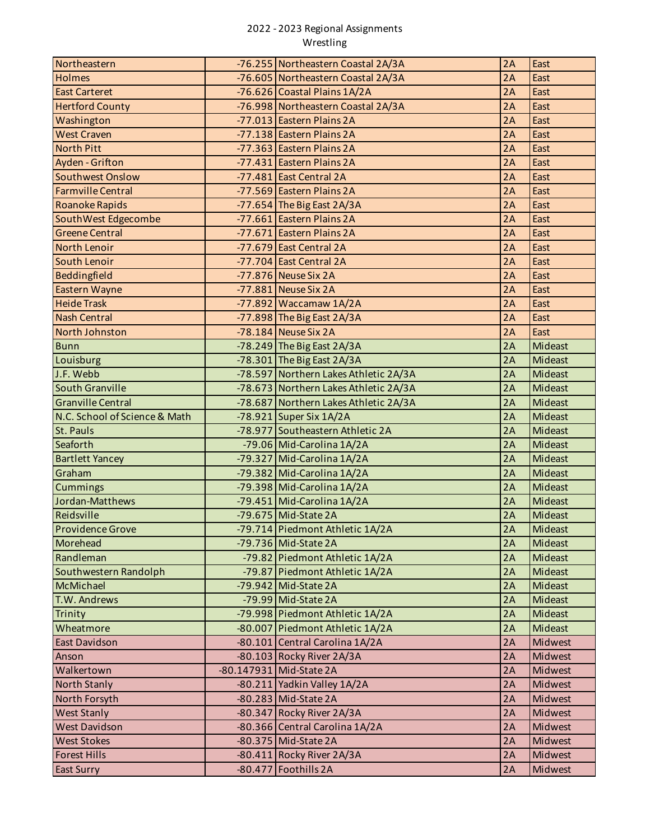| Northeastern                  | -76.255 Northeastern Coastal 2A/3A    | 2A | East    |
|-------------------------------|---------------------------------------|----|---------|
| <b>Holmes</b>                 | -76.605 Northeastern Coastal 2A/3A    | 2A | East    |
| <b>East Carteret</b>          | -76.626 Coastal Plains 1A/2A          | 2A | East    |
| <b>Hertford County</b>        | -76.998 Northeastern Coastal 2A/3A    | 2A | East    |
| Washington                    | -77.013 Eastern Plains 2A             | 2A | East    |
| <b>West Craven</b>            | -77.138 Eastern Plains 2A             | 2A | East    |
| <b>North Pitt</b>             | -77.363 Eastern Plains 2A             | 2A | East    |
| Ayden - Grifton               | -77.431 Eastern Plains 2A             | 2A | East    |
| Southwest Onslow              | -77.481 East Central 2A               | 2A | East    |
| <b>Farmville Central</b>      | -77.569 Eastern Plains 2A             | 2A | East    |
| <b>Roanoke Rapids</b>         | $-77.654$ The Big East 2A/3A          | 2A | East    |
| SouthWest Edgecombe           | -77.661 Eastern Plains 2A             | 2A | East    |
| <b>Greene Central</b>         | -77.671 Eastern Plains 2A             | 2A | East    |
| <b>North Lenoir</b>           | -77.679 East Central 2A               | 2A | East    |
| South Lenoir                  | -77.704 East Central 2A               | 2A | East    |
| Beddingfield                  | $-77.876$ Neuse Six 2A                | 2A | East    |
| Eastern Wayne                 | $-77.881$ Neuse Six 2A                | 2A | East    |
| <b>Heide Trask</b>            | -77.892 Waccamaw 1A/2A                | 2A | East    |
| <b>Nash Central</b>           | $-77.898$ The Big East 2A/3A          | 2A | East    |
| North Johnston                | -78.184 Neuse Six 2A                  | 2A | East    |
| <b>Bunn</b>                   | $-78.249$ The Big East 2A/3A          | 2A | Mideast |
| Louisburg                     | $-78.301$ The Big East 2A/3A          | 2A | Mideast |
| J.F. Webb                     | -78.597 Northern Lakes Athletic 2A/3A | 2A | Mideast |
| <b>South Granville</b>        | -78.673 Northern Lakes Athletic 2A/3A | 2A | Mideast |
| <b>Granville Central</b>      | -78.687 Northern Lakes Athletic 2A/3A | 2A | Mideast |
| N.C. School of Science & Math | -78.921 Super Six 1A/2A               | 2A | Mideast |
| St. Pauls                     | -78.977 Southeastern Athletic 2A      | 2A | Mideast |
| Seaforth                      | -79.06 Mid-Carolina 1A/2A             | 2A | Mideast |
| <b>Bartlett Yancey</b>        | -79.327 Mid-Carolina 1A/2A            | 2A | Mideast |
| Graham                        | $-79.382$ Mid-Carolina 1A/2A          | 2A | Mideast |
| Cummings                      | -79.398 Mid-Carolina 1A/2A            | 2A | Mideast |
| Jordan-Matthews               | -79.451 Mid-Carolina 1A/2A            | 2A | Mideast |
| Reidsville                    | -79.675 Mid-State 2A                  | 2A | Mideast |
| <b>Providence Grove</b>       | -79.714 Piedmont Athletic 1A/2A       | 2A | Mideast |
| Morehead                      | -79.736 Mid-State 2A                  | 2A | Mideast |
| Randleman                     | -79.82 Piedmont Athletic 1A/2A        | 2A | Mideast |
| Southwestern Randolph         | -79.87 Piedmont Athletic 1A/2A        | 2A | Mideast |
| McMichael                     | -79.942 Mid-State 2A                  | 2A | Mideast |
| T.W. Andrews                  | $-79.99$ Mid-State 2A                 | 2A | Mideast |
| Trinity                       | -79.998 Piedmont Athletic 1A/2A       | 2A | Mideast |
| Wheatmore                     | -80.007 Piedmont Athletic 1A/2A       | 2A | Mideast |
| <b>East Davidson</b>          | -80.101 Central Carolina 1A/2A        | 2A | Midwest |
| Anson                         | $-80.103$ Rocky River 2A/3A           | 2A | Midwest |
| Walkertown                    | -80.147931 Mid-State 2A               | 2A | Midwest |
| North Stanly                  | -80.211 Yadkin Valley 1A/2A           | 2A | Midwest |
| North Forsyth                 | -80.283 Mid-State 2A                  | 2A | Midwest |
| <b>West Stanly</b>            | $-80.347$ Rocky River 2A/3A           | 2A | Midwest |
| West Davidson                 | -80.366 Central Carolina 1A/2A        | 2A | Midwest |
| <b>West Stokes</b>            | -80.375 Mid-State 2A                  | 2A | Midwest |
| <b>Forest Hills</b>           | $-80.411$ Rocky River 2A/3A           | 2A | Midwest |
| <b>East Surry</b>             | $-80.477$ Foothills 2A                | 2A | Midwest |
|                               |                                       |    |         |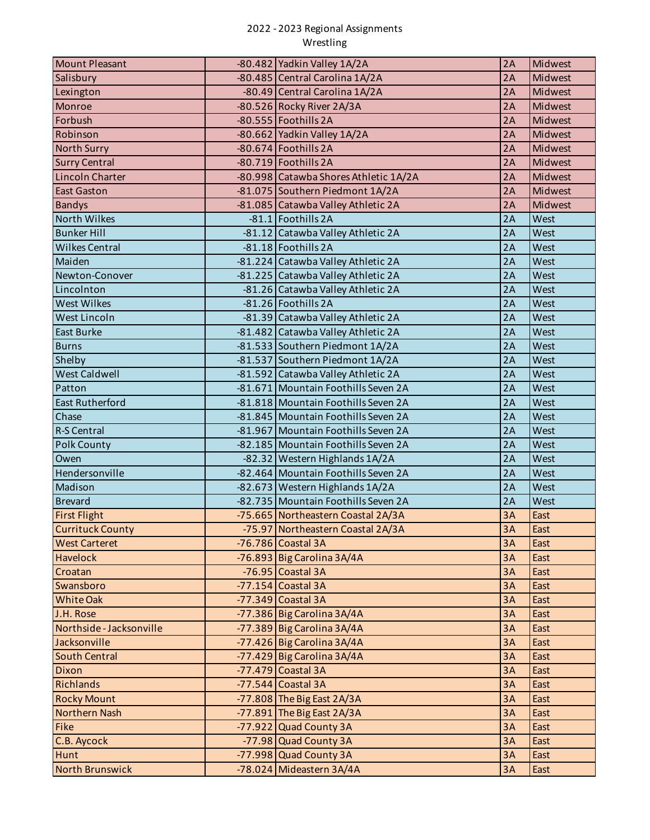| <b>Mount Pleasant</b>    | -80.482 Yadkin Valley 1A/2A           | 2A | Midwest        |
|--------------------------|---------------------------------------|----|----------------|
| Salisbury                | -80.485 Central Carolina 1A/2A        | 2A | <b>Midwest</b> |
| Lexington                | -80.49 Central Carolina 1A/2A         | 2A | Midwest        |
| Monroe                   | -80.526 Rocky River 2A/3A             | 2A | Midwest        |
| Forbush                  | -80.555 Foothills 2A                  | 2A | Midwest        |
| Robinson                 | -80.662 Yadkin Valley 1A/2A           | 2A | Midwest        |
| <b>North Surry</b>       | -80.674 Foothills 2A                  | 2A | Midwest        |
| <b>Surry Central</b>     | -80.719 Foothills 2A                  | 2A | Midwest        |
| Lincoln Charter          | -80.998 Catawba Shores Athletic 1A/2A | 2A | Midwest        |
| <b>East Gaston</b>       | -81.075 Southern Piedmont 1A/2A       | 2A | Midwest        |
| <b>Bandys</b>            | -81.085 Catawba Valley Athletic 2A    | 2A | Midwest        |
| North Wilkes             | $-81.1$ Foothills 2A                  | 2A | West           |
| <b>Bunker Hill</b>       | -81.12 Catawba Valley Athletic 2A     | 2A | West           |
| <b>Wilkes Central</b>    | $-81.18$ Foothills 2A                 | 2A | West           |
| Maiden                   | -81.224 Catawba Valley Athletic 2A    | 2A | West           |
| Newton-Conover           | -81.225 Catawba Valley Athletic 2A    | 2A | West           |
| Lincolnton               | -81.26 Catawba Valley Athletic 2A     | 2A | West           |
| <b>West Wilkes</b>       | $-81.26$ Foothills 2A                 | 2A | West           |
| West Lincoln             | -81.39 Catawba Valley Athletic 2A     | 2A | West           |
| East Burke               | -81.482 Catawba Valley Athletic 2A    | 2A | West           |
| <b>Burns</b>             | -81.533 Southern Piedmont 1A/2A       | 2A | West           |
| Shelby                   | -81.537 Southern Piedmont 1A/2A       | 2A | West           |
| <b>West Caldwell</b>     | -81.592 Catawba Valley Athletic 2A    | 2A | West           |
| Patton                   | -81.671 Mountain Foothills Seven 2A   | 2A | West           |
| <b>East Rutherford</b>   | -81.818 Mountain Foothills Seven 2A   | 2A | West           |
| Chase                    | -81.845 Mountain Foothills Seven 2A   | 2A | West           |
| <b>R-S Central</b>       | -81.967 Mountain Foothills Seven 2A   | 2A | West           |
| <b>Polk County</b>       | -82.185 Mountain Foothills Seven 2A   | 2A | West           |
| Owen                     | -82.32 Western Highlands 1A/2A        | 2A | West           |
| Hendersonville           | -82.464 Mountain Foothills Seven 2A   | 2A | West           |
| Madison                  | -82.673 Western Highlands 1A/2A       | 2A | West           |
| <b>Brevard</b>           | -82.735 Mountain Foothills Seven 2A   | 2A | West           |
| <b>First Flight</b>      | -75.665 Northeastern Coastal 2A/3A    | 3A | East           |
| <b>Currituck County</b>  | -75.97 Northeastern Coastal 2A/3A     | 3A | East           |
| <b>West Carteret</b>     | $-76.786$ Coastal 3A                  | 3A | East           |
| <b>Havelock</b>          | $-76.893$ Big Carolina 3A/4A          | 3A | East           |
| Croatan                  | $-76.95$ Coastal 3A                   | 3A | East           |
| Swansboro                | -77.154 Coastal 3A                    | 3A | East           |
| <b>White Oak</b>         | -77.349 Coastal 3A                    | 3A | East           |
| J.H. Rose                | $-77.386$ Big Carolina $3A/4A$        | 3A | East           |
| Northside - Jacksonville | $-77.389$ Big Carolina 3A/4A          | 3A | East           |
| Jacksonville             | $-77.426$ Big Carolina 3A/4A          | 3A | East           |
| <b>South Central</b>     | $-77.429$ Big Carolina 3A/4A          | 3A | East           |
| Dixon                    | -77.479 Coastal 3A                    | 3A | East           |
| Richlands                | -77.544 Coastal 3A                    | 3A | East           |
| <b>Rocky Mount</b>       | $-77.808$ The Big East 2A/3A          | 3A | East           |
| Northern Nash            | $-77.891$ The Big East 2A/3A          | 3A | East           |
| Fike                     | -77.922 Quad County 3A                | 3A | East           |
| C.B. Aycock              | -77.98 Quad County 3A                 | 3A | East           |
| Hunt                     | -77.998 Quad County 3A                | 3A | East           |
| <b>North Brunswick</b>   | $-78.024$ Mideastern $3A/4A$          | 3A | East           |
|                          |                                       |    |                |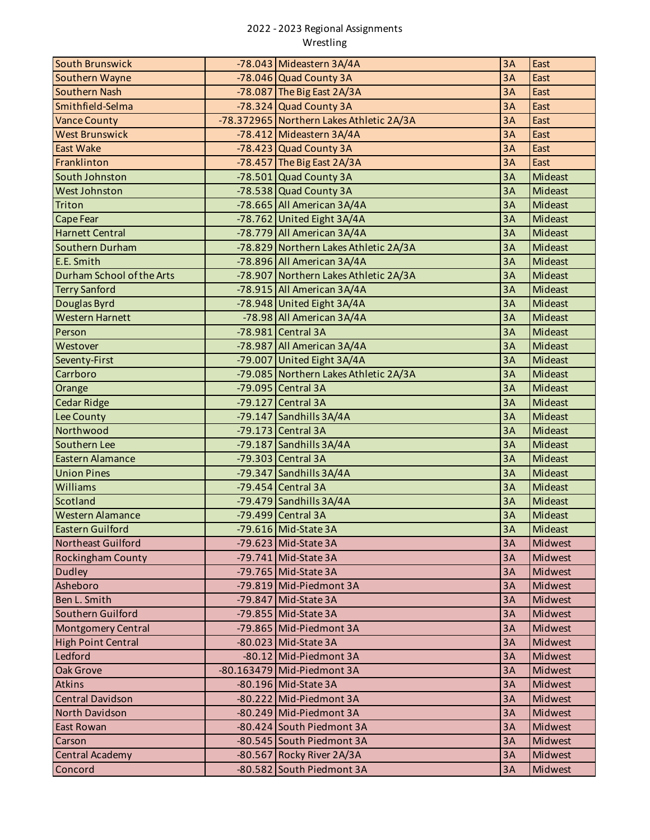| South Brunswick           | -78.043 Mideastern 3A/4A                 | 3A | East           |
|---------------------------|------------------------------------------|----|----------------|
| Southern Wayne            | -78.046 Quad County 3A                   | 3A | East           |
| <b>Southern Nash</b>      | $-78.087$ The Big East 2A/3A             | 3A | East           |
| Smithfield-Selma          | -78.324 Quad County 3A                   | 3A | East           |
| <b>Vance County</b>       | -78.372965 Northern Lakes Athletic 2A/3A | 3A | East           |
| <b>West Brunswick</b>     | -78.412 Mideastern 3A/4A                 | 3A | East           |
| East Wake                 | -78.423 Quad County 3A                   | 3A | East           |
| Franklinton               | $-78.457$ The Big East 2A/3A             | 3A | East           |
| South Johnston            | -78.501 Quad County 3A                   | 3A | Mideast        |
| <b>West Johnston</b>      | -78.538 Quad County 3A                   | 3A | Mideast        |
| Triton                    | -78.665 All American 3A/4A               | 3A | Mideast        |
| Cape Fear                 | $-78.762$ United Eight 3A/4A             | 3A | Mideast        |
| <b>Harnett Central</b>    | -78.779 All American 3A/4A               | 3A | Mideast        |
| Southern Durham           | -78.829 Northern Lakes Athletic 2A/3A    | 3A | Mideast        |
| E.E. Smith                | -78.896 All American 3A/4A               | 3A | Mideast        |
| Durham School of the Arts | -78.907 Northern Lakes Athletic 2A/3A    | 3A | Mideast        |
| <b>Terry Sanford</b>      | -78.915 All American 3A/4A               | 3A | Mideast        |
| Douglas Byrd              | $-78.948$ United Eight 3A/4A             | 3A | Mideast        |
| <b>Western Harnett</b>    | -78.98 All American 3A/4A                | 3A | Mideast        |
| Person                    | -78.981 Central 3A                       | 3A | Mideast        |
| Westover                  | -78.987 All American 3A/4A               | 3A | Mideast        |
| Seventy-First             | $-79.007$ United Eight 3A/4A             | 3A | Mideast        |
| Carrboro                  | -79.085 Northern Lakes Athletic 2A/3A    | 3A | Mideast        |
| Orange                    | -79.095 Central 3A                       | 3A | Mideast        |
| <b>Cedar Ridge</b>        | $-79.127$ Central 3A                     | 3A | Mideast        |
| Lee County                | $-79.147$ Sandhills $3A/4A$              | 3A | Mideast        |
| Northwood                 | -79.173 Central 3A                       | 3A | Mideast        |
| Southern Lee              | $-79.187$ Sandhills 3A/4A                | 3A | Mideast        |
| Eastern Alamance          | -79.303 Central 3A                       | 3A | Mideast        |
| <b>Union Pines</b>        | $-79.347$ Sandhills $3A/4A$              | 3A | Mideast        |
| Williams                  | $-79.454$ Central 3A                     | 3A | Mideast        |
| Scotland                  | $-79.479$ Sandhills 3A/4A                | 3A | Mideast        |
| <b>Western Alamance</b>   | -79.499 Central 3A                       | 3A | Mideast        |
| <b>Eastern Guilford</b>   | -79.616 Mid-State 3A                     | 3A | Mideast        |
| Northeast Guilford        | -79.623 Mid-State 3A                     | 3A | Midwest        |
| <b>Rockingham County</b>  | $-79.741$ Mid-State 3A                   | 3A | Midwest        |
| <b>Dudley</b>             | -79.765 Mid-State 3A                     | 3A | Midwest        |
| Asheboro                  | -79.819 Mid-Piedmont 3A                  | 3A | Midwest        |
| Ben L. Smith              | -79.847 Mid-State 3A                     | 3A | Midwest        |
| Southern Guilford         | -79.855 Mid-State 3A                     | 3A | Midwest        |
| <b>Montgomery Central</b> | -79.865 Mid-Piedmont 3A                  | 3A | Midwest        |
| <b>High Point Central</b> | -80.023 Mid-State 3A                     | 3A | Midwest        |
| Ledford                   | -80.12 Mid-Piedmont 3A                   | 3A | Midwest        |
| <b>Oak Grove</b>          | -80.163479 Mid-Piedmont 3A               | 3A | Midwest        |
| Atkins                    | -80.196 Mid-State 3A                     | 3A | <b>Midwest</b> |
| <b>Central Davidson</b>   | -80.222 Mid-Piedmont 3A                  | 3A | Midwest        |
| North Davidson            | -80.249 Mid-Piedmont 3A                  | 3A | Midwest        |
| <b>East Rowan</b>         | $-80.424$ South Piedmont 3A              | 3A | Midwest        |
| Carson                    | -80.545 South Piedmont 3A                | 3A | Midwest        |
| Central Academy           | -80.567 Rocky River 2A/3A                | 3A | Midwest        |
| Concord                   | -80.582 South Piedmont 3A                | 3A | Midwest        |
|                           |                                          |    |                |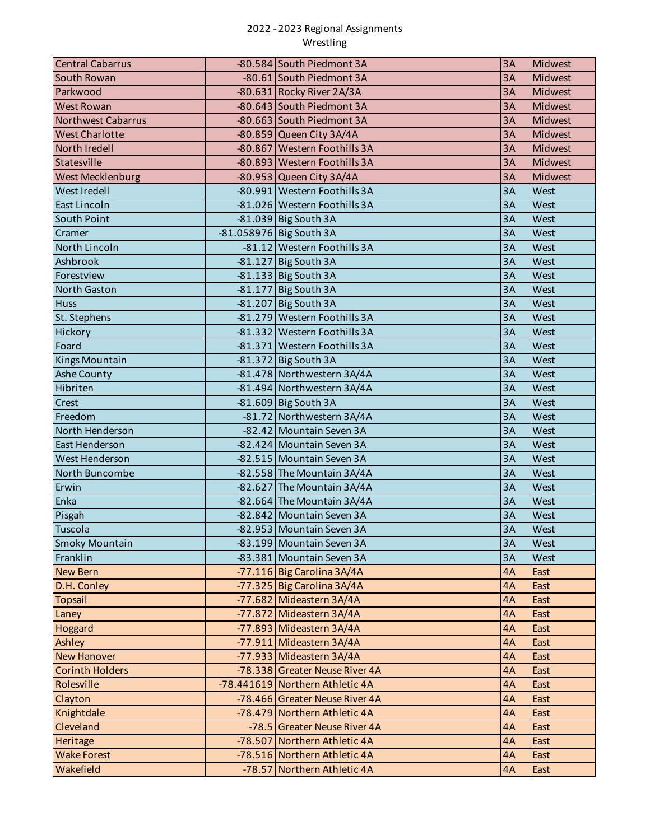| <b>Central Cabarrus</b>   | -80.584 South Piedmont 3A       | 3A | Midwest        |
|---------------------------|---------------------------------|----|----------------|
| South Rowan               | -80.61 South Piedmont 3A        | 3A | Midwest        |
| Parkwood                  | $-80.631$ Rocky River 2A/3A     | 3A | Midwest        |
| <b>West Rowan</b>         | -80.643 South Piedmont 3A       | 3A | Midwest        |
| <b>Northwest Cabarrus</b> | -80.663 South Piedmont 3A       | 3A | Midwest        |
| <b>West Charlotte</b>     | -80.859 Queen City 3A/4A        | 3A | Midwest        |
| North Iredell             | -80.867 Western Foothills 3A    | 3A | Midwest        |
| Statesville               | -80.893 Western Foothills 3A    | 3A | Midwest        |
| West Mecklenburg          | $-80.953$ Queen City 3A/4A      | 3A | <b>Midwest</b> |
| West Iredell              | -80.991 Western Foothills 3A    | 3A | West           |
| East Lincoln              | -81.026 Western Foothills 3A    | 3A | West           |
| South Point               | $-81.039$ Big South 3A          | 3A | West           |
| Cramer                    | -81.058976 Big South 3A         | 3A | West           |
| North Lincoln             | -81.12 Western Foothills 3A     | 3A | West           |
| Ashbrook                  | $-81.127$ Big South 3A          | 3A | West           |
| Forestview                | $-81.133$ Big South 3A          | 3A | West           |
| <b>North Gaston</b>       | $-81.177$ Big South 3A          | 3A | West           |
| Huss                      | $-81.207$ Big South 3A          | 3A | West           |
| St. Stephens              | -81.279 Western Foothills 3A    | 3A | West           |
| Hickory                   | -81.332 Western Foothills 3A    | 3A | West           |
| Foard                     | -81.371 Western Foothills 3A    | 3A | West           |
| Kings Mountain            | $-81.372$ Big South 3A          | 3A | West           |
| Ashe County               | -81.478 Northwestern 3A/4A      | 3A | West           |
| Hibriten                  | -81.494 Northwestern 3A/4A      | 3A | West           |
| Crest                     | $-81.609$ Big South 3A          | 3A | West           |
| Freedom                   | -81.72 Northwestern 3A/4A       | 3A | West           |
| North Henderson           | -82.42 Mountain Seven 3A        | 3A | West           |
| East Henderson            | -82.424 Mountain Seven 3A       | 3A | West           |
| West Henderson            | -82.515 Mountain Seven 3A       | 3A | West           |
| North Buncombe            | -82.558 The Mountain 3A/4A      | 3A | West           |
| Erwin                     | -82.627 The Mountain 3A/4A      | 3A | West           |
| Enka                      | -82.664 The Mountain 3A/4A      | 3A | West           |
| Pisgah                    | -82.842 Mountain Seven 3A       | 3A | West           |
| Tuscola                   | -82.953 Mountain Seven 3A       | 3A | West           |
| <b>Smoky Mountain</b>     | -83.199 Mountain Seven 3A       | 3A | West           |
| Franklin                  | -83.381 Mountain Seven 3A       | 3A | West           |
| <b>New Bern</b>           | -77.116 Big Carolina 3A/4A      | 4A | East           |
| D.H. Conley               | -77.325 Big Carolina 3A/4A      | 4A | East           |
| <b>Topsail</b>            | -77.682 Mideastern 3A/4A        | 4A | East           |
| Laney                     | -77.872 Mideastern 3A/4A        | 4A | East           |
| Hoggard                   | -77.893 Mideastern 3A/4A        | 4A | East           |
| Ashley                    | -77.911 Mideastern 3A/4A        | 4A | East           |
| <b>New Hanover</b>        | -77.933 Mideastern 3A/4A        | 4A | East           |
| <b>Corinth Holders</b>    | -78.338 Greater Neuse River 4A  | 4A | East           |
| Rolesville                | -78.441619 Northern Athletic 4A | 4A | East           |
| Clayton                   | -78.466 Greater Neuse River 4A  | 4A | East           |
| Knightdale                | -78.479 Northern Athletic 4A    | 4A | East           |
| Cleveland                 | -78.5 Greater Neuse River 4A    | 4A | East           |
| Heritage                  | -78.507 Northern Athletic 4A    | 4A | East           |
| <b>Wake Forest</b>        | -78.516 Northern Athletic 4A    | 4A | East           |
| Wakefield                 | -78.57 Northern Athletic 4A     | 4A | East           |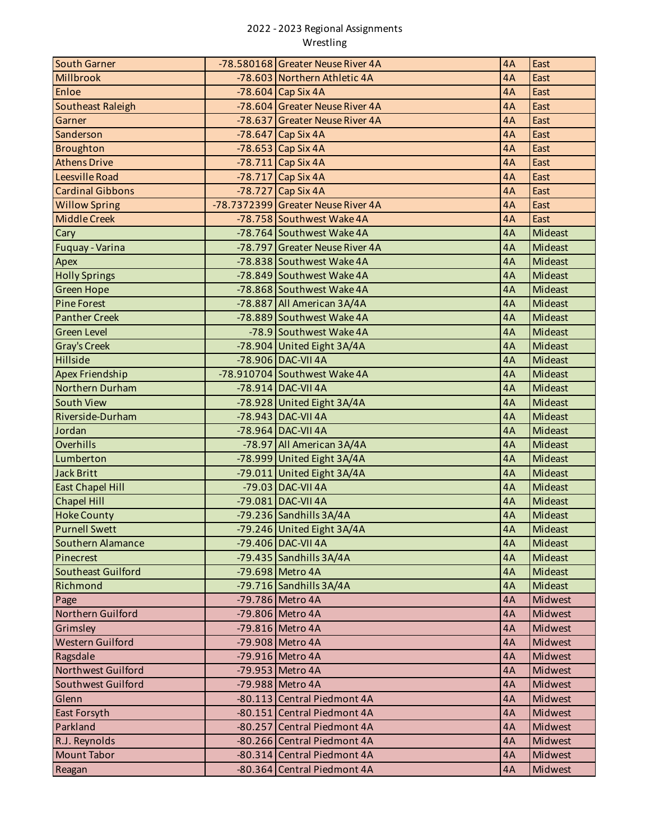| <b>South Garner</b>     | -78.580168 Greater Neuse River 4A  | 4A | East    |
|-------------------------|------------------------------------|----|---------|
| Millbrook               | -78.603 Northern Athletic 4A       | 4A | East    |
| Enloe                   | $-78.604$ Cap Six 4A               | 4A | East    |
| Southeast Raleigh       | -78.604 Greater Neuse River 4A     | 4A | East    |
| Garner                  | -78.637 Greater Neuse River 4A     | 4A | East    |
| Sanderson               | -78.647 Cap Six 4A                 | 4A | East    |
| Broughton               | -78.653 Cap Six 4A                 | 4A | East    |
| <b>Athens Drive</b>     | $-78.711$ Cap Six 4A               | 4A | East    |
| Leesville Road          | $-78.717$ Cap Six 4A               | 4A | East    |
| <b>Cardinal Gibbons</b> | $-78.727$ Cap Six 4A               | 4A | East    |
| <b>Willow Spring</b>    | -78.7372399 Greater Neuse River 4A | 4A | East    |
| Middle Creek            | -78.758 Southwest Wake 4A          | 4A | East    |
| Cary                    | -78.764 Southwest Wake 4A          | 4A | Mideast |
| Fuquay - Varina         | -78.797 Greater Neuse River 4A     | 4A | Mideast |
| Apex                    | -78.838 Southwest Wake 4A          | 4A | Mideast |
| <b>Holly Springs</b>    | -78.849 Southwest Wake 4A          | 4A | Mideast |
| <b>Green Hope</b>       | -78.868 Southwest Wake 4A          | 4A | Mideast |
| <b>Pine Forest</b>      | -78.887 All American 3A/4A         | 4A | Mideast |
| <b>Panther Creek</b>    | -78.889 Southwest Wake 4A          | 4A | Mideast |
| <b>Green Level</b>      | -78.9 Southwest Wake 4A            | 4A | Mideast |
| <b>Gray's Creek</b>     | -78.904 United Eight 3A/4A         | 4A | Mideast |
| Hillside                | -78.906 DAC-VII 4A                 | 4A | Mideast |
| Apex Friendship         | -78.910704 Southwest Wake 4A       | 4A | Mideast |
| Northern Durham         | -78.914 DAC-VII 4A                 | 4A | Mideast |
| South View              | $-78.928$ United Eight 3A/4A       | 4A | Mideast |
| Riverside-Durham        | -78.943 DAC-VII 4A                 | 4A | Mideast |
| Jordan                  | -78.964 DAC-VII 4A                 | 4A | Mideast |
| Overhills               | -78.97 All American 3A/4A          | 4A | Mideast |
| Lumberton               | $-78.999$ United Eight 3A/4A       | 4A | Mideast |
| Jack Britt              | $-79.011$ United Eight 3A/4A       | 4A | Mideast |
| <b>East Chapel Hill</b> | -79.03 DAC-VII 4A                  | 4A | Mideast |
| <b>Chapel Hill</b>      | -79.081 DAC-VII 4A                 | 4A | Mideast |
| <b>Hoke County</b>      | $-79.236$ Sandhills $3A/4A$        | 4A | Mideast |
| <b>Purnell Swett</b>    | -79.246 United Eight 3A/4A         | 4A | Mideast |
| Southern Alamance       | -79.406 DAC-VII 4A                 | 4A | Mideast |
| Pinecrest               | $-79.435$ Sandhills 3A/4A          | 4A | Mideast |
| Southeast Guilford      | -79.698 Metro 4A                   | 4A | Mideast |
| Richmond                | $-79.716$ Sandhills $3A/4A$        | 4A | Mideast |
| Page                    | -79.786 Metro 4A                   | 4A | Midwest |
| Northern Guilford       | -79.806 Metro 4A                   | 4A | Midwest |
| Grimsley                | $-79.816$ Metro 4A                 | 4A | Midwest |
| Western Guilford        | -79.908 Metro 4A                   | 4A | Midwest |
| Ragsdale                | -79.916 Metro 4A                   | 4A | Midwest |
| Northwest Guilford      | -79.953 Metro 4A                   | 4A | Midwest |
| Southwest Guilford      | -79.988 Metro 4A                   | 4A | Midwest |
| Glenn                   | -80.113 Central Piedmont 4A        | 4A | Midwest |
| East Forsyth            | -80.151 Central Piedmont 4A        | 4A | Midwest |
| Parkland                | -80.257 Central Piedmont 4A        | 4A | Midwest |
| R.J. Reynolds           | -80.266 Central Piedmont 4A        | 4A | Midwest |
| <b>Mount Tabor</b>      | -80.314 Central Piedmont 4A        | 4A | Midwest |
| Reagan                  | -80.364 Central Piedmont 4A        | 4A | Midwest |
|                         |                                    |    |         |